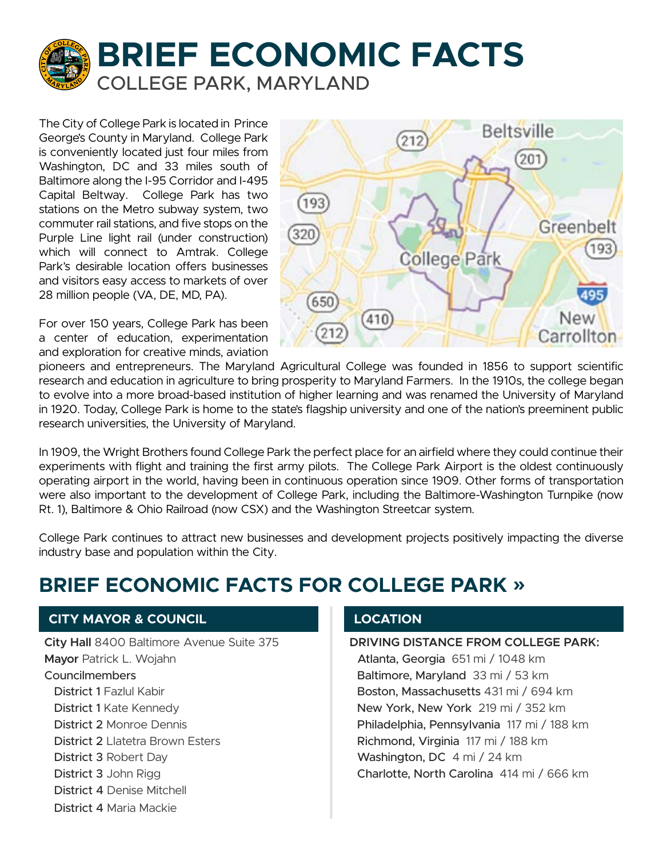

The City of College Park is located in Prince George's County in Maryland. College Park is conveniently located just four miles from Washington, DC and 33 miles south of Baltimore along the I-95 Corridor and I-495 Capital Beltway. College Park has two stations on the Metro subway system, two commuter rail stations, and five stops on the Purple Line light rail (under construction) which will connect to Amtrak. College Park's desirable location offers businesses and visitors easy access to markets of over 28 million people (VA, DE, MD, PA).

For over 150 years, College Park has been a center of education, experimentation and exploration for creative minds, aviation



pioneers and entrepreneurs. The Maryland Agricultural College was founded in 1856 to support scientific research and education in agriculture to bring prosperity to Maryland Farmers. In the 1910s, the college began to evolve into a more broad-based institution of higher learning and was renamed the University of Maryland in 1920. Today, College Park is home to the state's flagship university and one of the nation's preeminent public research universities, the University of Maryland.

In 1909, the Wright Brothers found College Park the perfect place for an airfield where they could continue their experiments with flight and training the first army pilots. The College Park Airport is the oldest continuously operating airport in the world, having been in continuous operation since 1909. Other forms of transportation were also important to the development of College Park, including the Baltimore-Washington Turnpike (now Rt. 1), Baltimore & Ohio Railroad (now CSX) and the Washington Streetcar system.

College Park continues to attract new businesses and development projects positively impacting the diverse industry base and population within the City.

# **BRIEF ECONOMIC FACTS FOR COLLEGE PARK »**

## **CITY MAYOR & COUNCIL**

**City Hall** 8400 Baltimore Avenue Suite 375 **Mayor** Patrick L. Wojahn Councilmembers District 1 Fazlul Kabir District 1 Kate Kennedy District 2 Monroe Dennis District 2 Llatetra Brown Esters District 3 Robert Day District 3 John Rigg District 4 Denise Mitchell District 4 Maria Mackie

## **LOCATION**

**DRIVING DISTANCE FROM COLLEGE PARK:** Atlanta, Georgia 651 mi / 1048 km Baltimore, Maryland 33 mi / 53 km Boston, Massachusetts 431 mi / 694 km New York, New York 219 mi / 352 km Philadelphia, Pennsylvania 117 mi / 188 km Richmond, Virginia 117 mi / 188 km Washington, DC 4 mi / 24 km Charlotte, North Carolina 414 mi / 666 km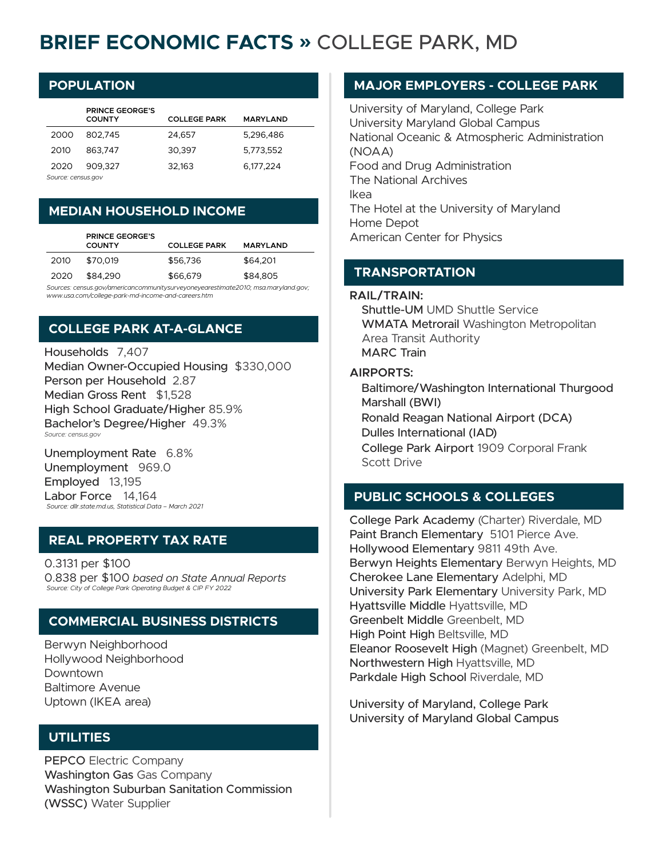# **BRIEF ECONOMIC FACTS »** COLLEGE PARK, MD

## **POPULATION**

|                    | <b>PRINCE GEORGE'S</b><br><b>COUNTY</b> | <b>COLLEGE PARK</b> | <b>MARYLAND</b> |  |
|--------------------|-----------------------------------------|---------------------|-----------------|--|
| 2000               | 802.745                                 | 24.657              | 5.296.486       |  |
| 2010               | 863.747                                 | 30.397              | 5,773,552       |  |
| 2020               | 909.327                                 | 32,163              | 6,177,224       |  |
| Source: census.gov |                                         |                     |                 |  |

## **MEDIAN HOUSEHOLD INCOME**

|                                                                                     | <b>PRINCE GEORGE'S</b><br><b>COUNTY</b> | <b>COLLEGE PARK</b> | <b>MARYLAND</b> |
|-------------------------------------------------------------------------------------|-----------------------------------------|---------------------|-----------------|
| 2010                                                                                | \$70.019                                | \$56,736            | \$64,201        |
| 2020                                                                                | \$84,290                                | \$66,679            | \$84,805        |
| Sources: consus any/americancommunitysury/overal/ographicato?010; msa mary/and any: |                                         |                     |                 |

*Sources: census.gov/americancommunitysurveyoneyearestimate2010; msa.maryland.gov; www.usa.com/college-park-md-income-and-careers.htm*

# **COLLEGE PARK AT-A-GLANCE**

Households 7,407 Median Owner-Occupied Housing \$330,000 Person per Household 2.87 Median Gross Rent \$1,528 High School Graduate/Higher 85.9% Bachelor's Degree/Higher 49.3% *Source: census.gov*

Unemployment Rate 6.8% Unemployment 969.0 Employed 13,195 Labor Force 14,164 *Source: dllr.state.md.us, Statistical Data – March 2021*

## **REAL PROPERTY TAX RATE**

0.3131 per \$100 0.838 per \$100 *based on State Annual Reports Source: City of College Park Operating Budget & CIP FY 2022*

## **COMMERCIAL BUSINESS DISTRICTS**

Berwyn Neighborhood Hollywood Neighborhood Downtown Baltimore Avenue Uptown (IKEA area)

## **UTILITIES**

PEPCO Electric Company Washington Gas Gas Company Washington Suburban Sanitation Commission (WSSC) Water Supplier

### **MAJOR EMPLOYERS - COLLEGE PARK**

University of Maryland, College Park University Maryland Global Campus National Oceanic & Atmospheric Administration (NOAA) Food and Drug Administration The National Archives Ikea The Hotel at the University of Maryland Home Depot American Center for Physics

### **TRANSPORTATION**

#### **RAIL/TRAIN:**

Shuttle-UM UMD Shuttle Service WMATA Metrorail Washington Metropolitan Area Transit Authority MARC Train

#### **AIRPORTS:**

Baltimore/Washington International Thurgood Marshall (BWI) Ronald Reagan National Airport (DCA) Dulles International (IAD) College Park Airport 1909 Corporal Frank Scott Drive

## **PUBLIC SCHOOLS & COLLEGES**

College Park Academy (Charter) Riverdale, MD Paint Branch Elementary 5101 Pierce Ave. Hollywood Elementary 9811 49th Ave. Berwyn Heights Elementary Berwyn Heights, MD Cherokee Lane Elementary Adelphi, MD University Park Elementary University Park, MD Hyattsville Middle Hyattsville, MD Greenbelt Middle Greenbelt, MD High Point High Beltsville, MD Eleanor Roosevelt High (Magnet) Greenbelt, MD Northwestern High Hyattsville, MD Parkdale High School Riverdale, MD

University of Maryland, College Park University of Maryland Global Campus